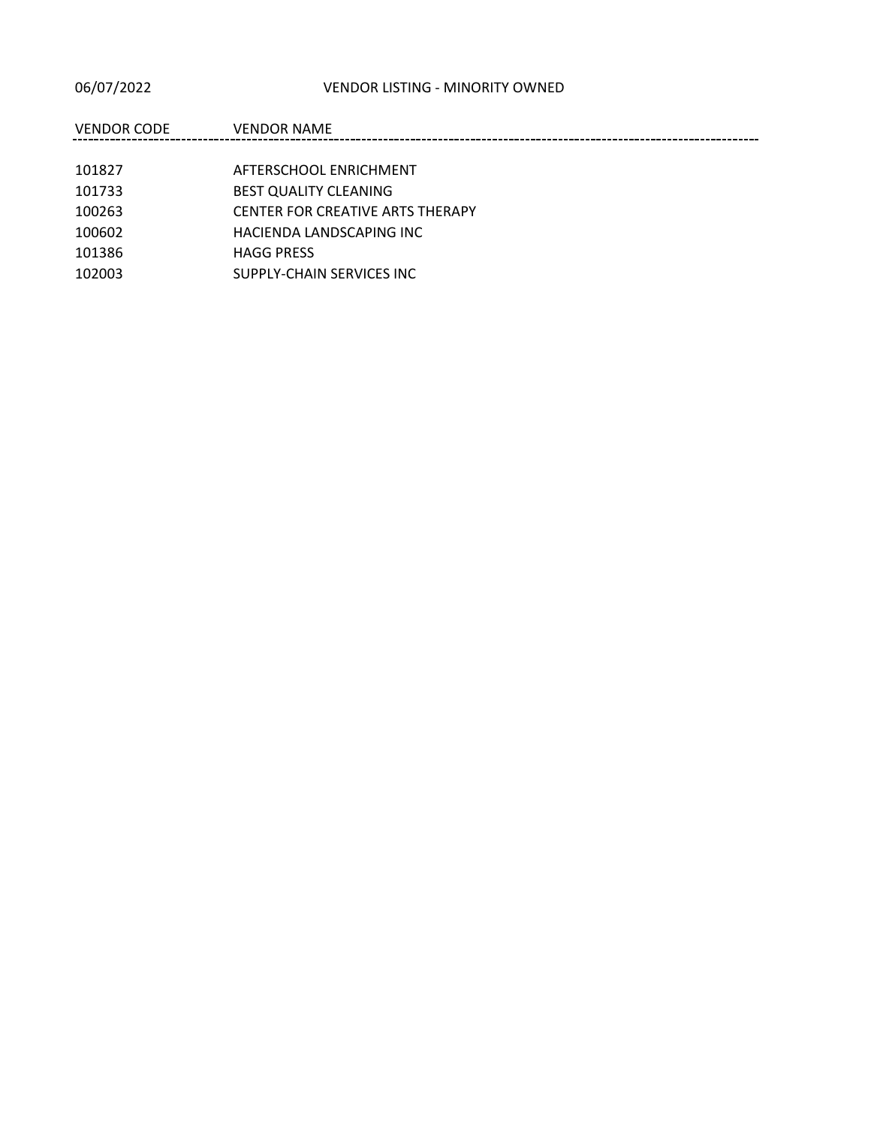| VENDOR CODE | <b>VENDOR NAME</b>                      |
|-------------|-----------------------------------------|
|             |                                         |
| 101827      | AFTERSCHOOL ENRICHMENT                  |
| 101733      | <b>BEST QUALITY CLEANING</b>            |
| 100263      | <b>CENTER FOR CREATIVE ARTS THERAPY</b> |
| 100602      | HACIENDA LANDSCAPING INC                |
| 101386      | <b>HAGG PRESS</b>                       |
| 102003      | SUPPLY-CHAIN SERVICES INC               |
|             |                                         |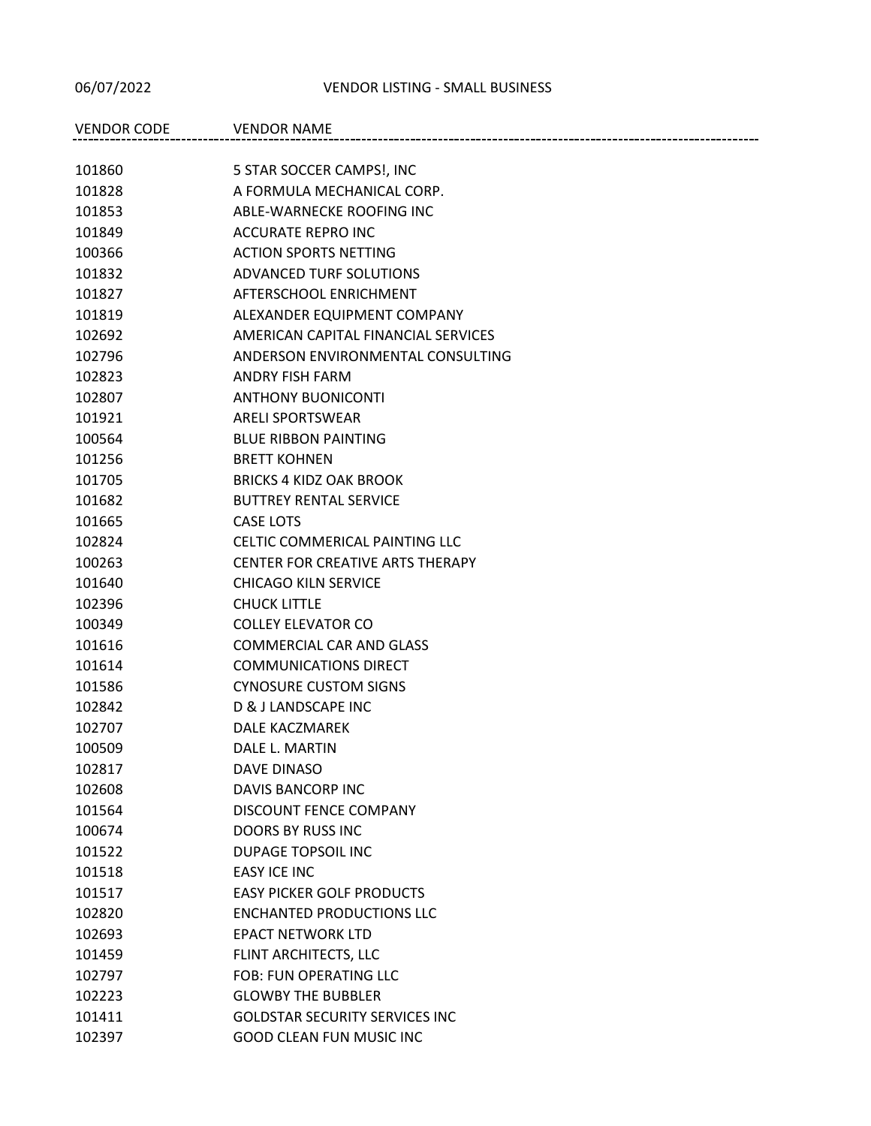## 06/07/2022 VENDOR LISTING - SMALL BUSINESS

| <b>VENDOR CODE</b> | <b>VENDOR NAME</b>                      |
|--------------------|-----------------------------------------|
|                    |                                         |
| 101860             | 5 STAR SOCCER CAMPS!, INC               |
| 101828             | A FORMULA MECHANICAL CORP.              |
| 101853             | ABLE-WARNECKE ROOFING INC               |
| 101849             | <b>ACCURATE REPRO INC</b>               |
| 100366             | <b>ACTION SPORTS NETTING</b>            |
| 101832             | ADVANCED TURF SOLUTIONS                 |
| 101827             | AFTERSCHOOL ENRICHMENT                  |
| 101819             | ALEXANDER EQUIPMENT COMPANY             |
| 102692             | AMERICAN CAPITAL FINANCIAL SERVICES     |
| 102796             | ANDERSON ENVIRONMENTAL CONSULTING       |
| 102823             | <b>ANDRY FISH FARM</b>                  |
| 102807             | <b>ANTHONY BUONICONTI</b>               |
| 101921             | <b>ARELI SPORTSWEAR</b>                 |
| 100564             | <b>BLUE RIBBON PAINTING</b>             |
| 101256             | <b>BRETT KOHNEN</b>                     |
| 101705             | <b>BRICKS 4 KIDZ OAK BROOK</b>          |
| 101682             | <b>BUTTREY RENTAL SERVICE</b>           |
| 101665             | <b>CASE LOTS</b>                        |
| 102824             | CELTIC COMMERICAL PAINTING LLC          |
| 100263             | <b>CENTER FOR CREATIVE ARTS THERAPY</b> |
| 101640             | <b>CHICAGO KILN SERVICE</b>             |
| 102396             | <b>CHUCK LITTLE</b>                     |
| 100349             | <b>COLLEY ELEVATOR CO</b>               |
| 101616             | <b>COMMERCIAL CAR AND GLASS</b>         |
| 101614             | <b>COMMUNICATIONS DIRECT</b>            |
| 101586             | <b>CYNOSURE CUSTOM SIGNS</b>            |
| 102842             | D & J LANDSCAPE INC                     |
| 102707             | DALE KACZMAREK                          |
| 100509             | DALE L. MARTIN                          |
| 102817             | DAVE DINASO                             |
| 102608             | DAVIS BANCORP INC                       |
| 101564             | DISCOUNT FENCE COMPANY                  |
| 100674             | <b>DOORS BY RUSS INC</b>                |
| 101522             | DUPAGE TOPSOIL INC                      |
| 101518             | EASY ICE INC                            |
| 101517             | <b>EASY PICKER GOLF PRODUCTS</b>        |
| 102820             | <b>ENCHANTED PRODUCTIONS LLC</b>        |
| 102693             | <b>EPACT NETWORK LTD</b>                |
| 101459             | FLINT ARCHITECTS, LLC                   |
| 102797             | <b>FOB: FUN OPERATING LLC</b>           |
| 102223             | <b>GLOWBY THE BUBBLER</b>               |
| 101411             | <b>GOLDSTAR SECURITY SERVICES INC</b>   |
| 102397             | <b>GOOD CLEAN FUN MUSIC INC</b>         |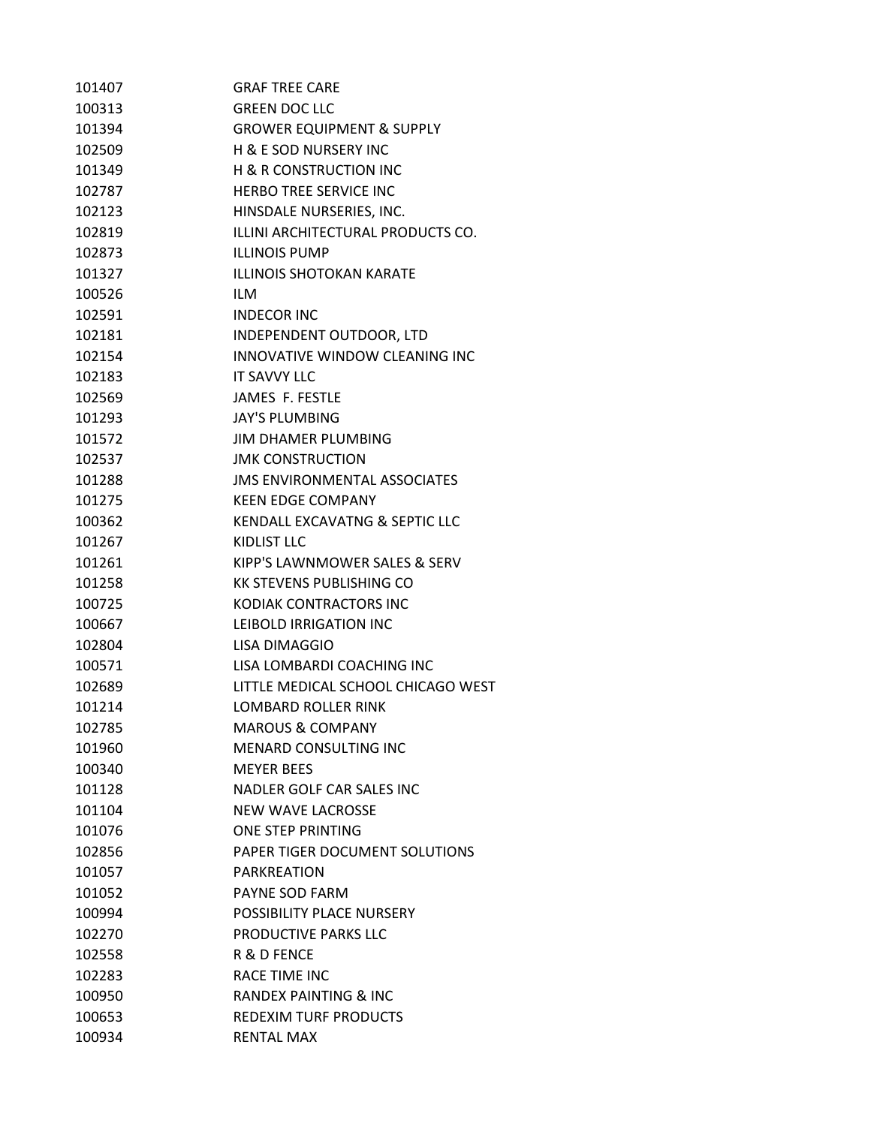| 101407 | <b>GRAF TREE CARE</b>                |
|--------|--------------------------------------|
| 100313 | <b>GREEN DOC LLC</b>                 |
| 101394 | <b>GROWER EQUIPMENT &amp; SUPPLY</b> |
| 102509 | H & E SOD NURSERY INC                |
| 101349 | <b>H &amp; R CONSTRUCTION INC</b>    |
| 102787 | <b>HERBO TREE SERVICE INC</b>        |
| 102123 | HINSDALE NURSERIES, INC.             |
| 102819 | ILLINI ARCHITECTURAL PRODUCTS CO.    |
| 102873 | <b>ILLINOIS PUMP</b>                 |
| 101327 | <b>ILLINOIS SHOTOKAN KARATE</b>      |
| 100526 | <b>ILM</b>                           |
| 102591 | <b>INDECOR INC</b>                   |
| 102181 | INDEPENDENT OUTDOOR, LTD             |
| 102154 | INNOVATIVE WINDOW CLEANING INC       |
| 102183 | <b>IT SAVVY LLC</b>                  |
| 102569 | <b>JAMES F. FESTLE</b>               |
| 101293 | <b>JAY'S PLUMBING</b>                |
| 101572 | <b>JIM DHAMER PLUMBING</b>           |
| 102537 | <b>JMK CONSTRUCTION</b>              |
| 101288 | <b>JMS ENVIRONMENTAL ASSOCIATES</b>  |
| 101275 | <b>KEEN EDGE COMPANY</b>             |
| 100362 | KENDALL EXCAVATNG & SEPTIC LLC       |
| 101267 | KIDLIST LLC                          |
| 101261 | KIPP'S LAWNMOWER SALES & SERV        |
| 101258 | <b>KK STEVENS PUBLISHING CO</b>      |
| 100725 | KODIAK CONTRACTORS INC               |
| 100667 | LEIBOLD IRRIGATION INC               |
| 102804 | LISA DIMAGGIO                        |
| 100571 | LISA LOMBARDI COACHING INC           |
| 102689 | LITTLE MEDICAL SCHOOL CHICAGO WEST   |
| 101214 | LOMBARD ROLLER RINK                  |
| 102785 | <b>MAROUS &amp; COMPANY</b>          |
| 101960 | <b>MENARD CONSULTING INC</b>         |
| 100340 | <b>MEYER BEES</b>                    |
| 101128 | NADLER GOLF CAR SALES INC            |
| 101104 | <b>NEW WAVE LACROSSE</b>             |
| 101076 | ONE STEP PRINTING                    |
| 102856 | PAPER TIGER DOCUMENT SOLUTIONS       |
| 101057 | PARKREATION                          |
| 101052 | <b>PAYNE SOD FARM</b>                |
| 100994 | POSSIBILITY PLACE NURSERY            |
| 102270 | PRODUCTIVE PARKS LLC                 |
| 102558 | R & D FENCE                          |
| 102283 | <b>RACE TIME INC</b>                 |
| 100950 | <b>RANDEX PAINTING &amp; INC</b>     |
| 100653 | <b>REDEXIM TURF PRODUCTS</b>         |
| 100934 | <b>RENTAL MAX</b>                    |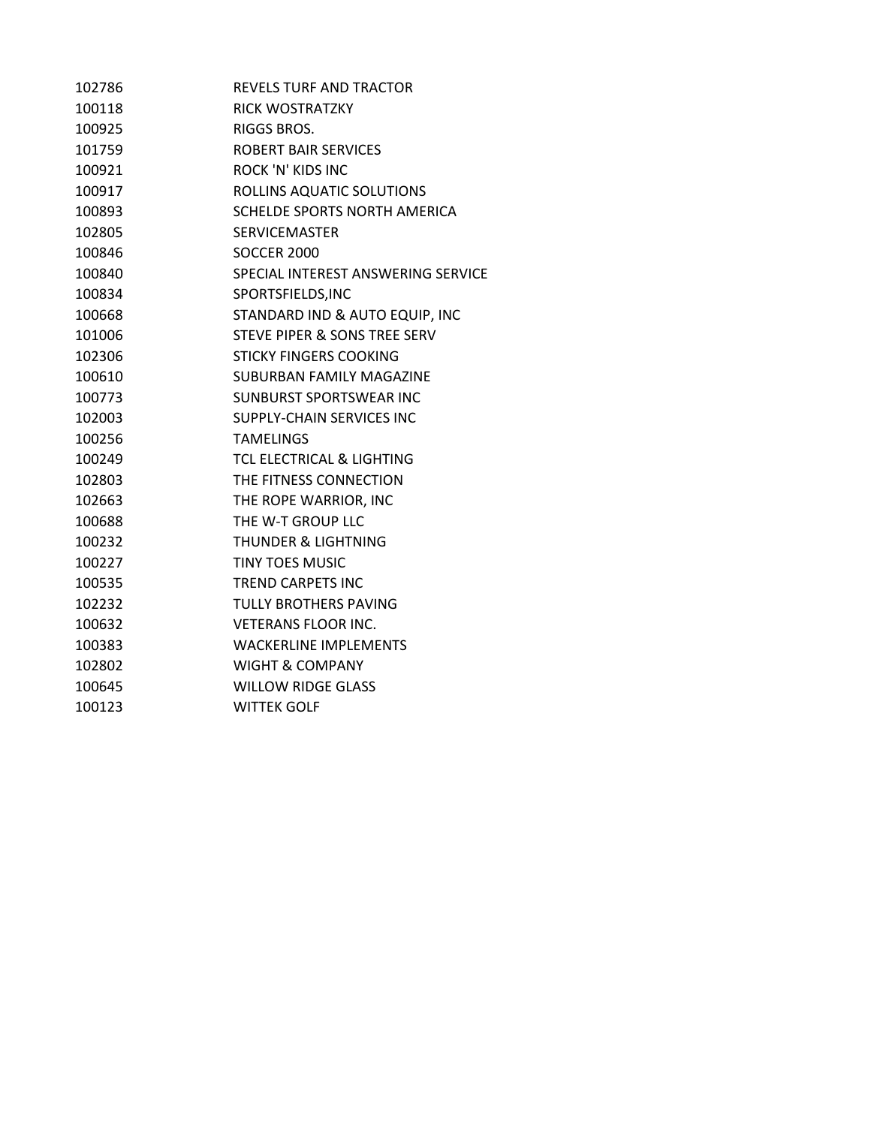| 102786 | <b>REVELS TURE AND TRACTOR</b>       |
|--------|--------------------------------------|
| 100118 | <b>RICK WOSTRATZKY</b>               |
| 100925 | RIGGS BROS.                          |
| 101759 | <b>ROBERT BAIR SERVICES</b>          |
| 100921 | <b>ROCK 'N' KIDS INC</b>             |
| 100917 | ROLLINS AQUATIC SOLUTIONS            |
| 100893 | SCHELDE SPORTS NORTH AMERICA         |
| 102805 | <b>SERVICEMASTER</b>                 |
| 100846 | <b>SOCCER 2000</b>                   |
| 100840 | SPECIAL INTEREST ANSWERING SERVICE   |
| 100834 | SPORTSFIELDS, INC                    |
| 100668 | STANDARD IND & AUTO EQUIP, INC       |
| 101006 | STEVE PIPER & SONS TREE SERV         |
| 102306 | <b>STICKY FINGERS COOKING</b>        |
| 100610 | SUBURBAN FAMILY MAGAZINE             |
| 100773 | SUNBURST SPORTSWEAR INC              |
| 102003 | SUPPLY-CHAIN SERVICES INC            |
| 100256 | <b>TAMELINGS</b>                     |
| 100249 | <b>TCL ELECTRICAL &amp; LIGHTING</b> |
| 102803 | THE FITNESS CONNECTION               |
| 102663 | THE ROPE WARRIOR, INC                |
| 100688 | THE W-T GROUP LLC                    |
| 100232 | <b>THUNDER &amp; LIGHTNING</b>       |
| 100227 | <b>TINY TOES MUSIC</b>               |
| 100535 | <b>TREND CARPETS INC</b>             |
| 102232 | <b>TULLY BROTHERS PAVING</b>         |
| 100632 | <b>VETERANS FLOOR INC.</b>           |
| 100383 | <b>WACKERLINE IMPLEMENTS</b>         |
| 102802 | <b>WIGHT &amp; COMPANY</b>           |
| 100645 | <b>WILLOW RIDGE GLASS</b>            |
| 100123 | <b>WITTEK GOLF</b>                   |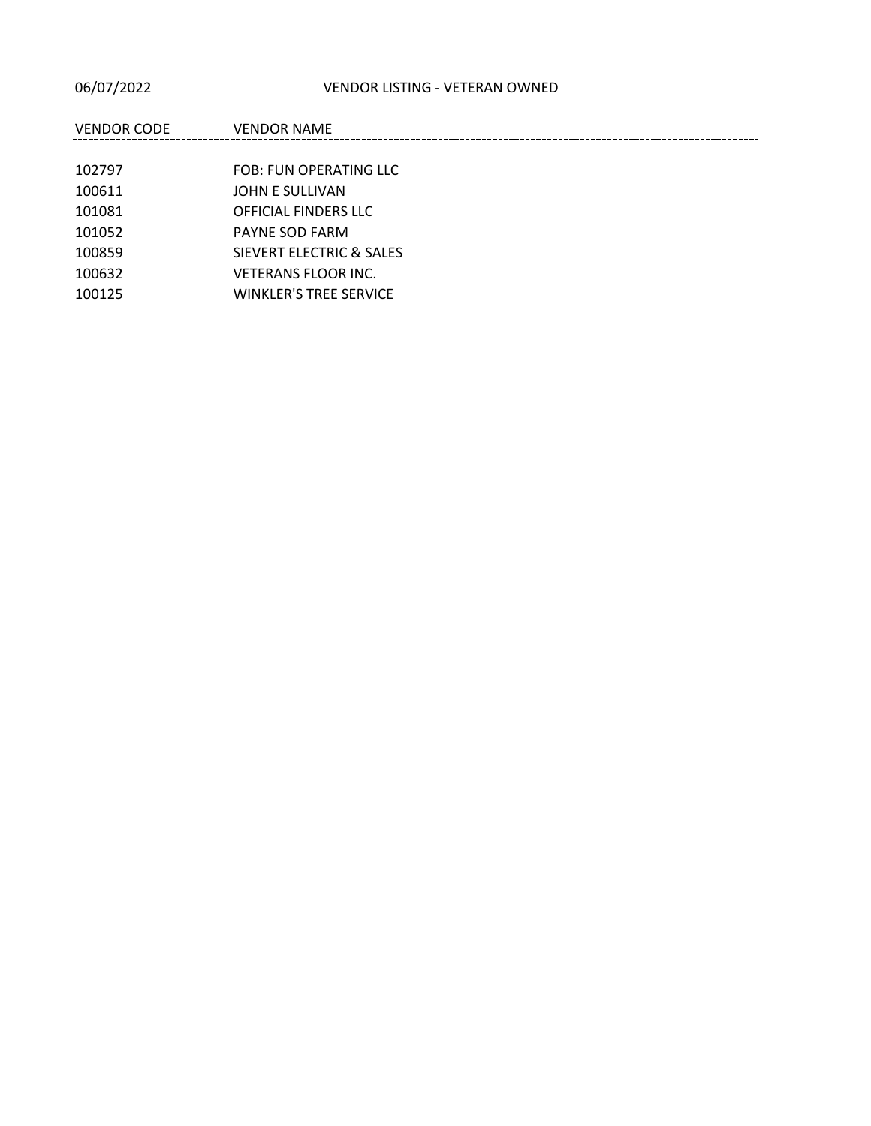| <b>VENDOR CODE</b> | <b>VENDOR NAME</b>            |
|--------------------|-------------------------------|
|                    |                               |
| 102797             | FOB: FUN OPERATING LLC        |
| 100611             | JOHN E SULLIVAN               |
| 101081             | OFFICIAL FINDERS LLC          |
| 101052             | PAYNE SOD FARM                |
| 100859             | SIEVERT ELECTRIC & SALES      |
| 100632             | <b>VETERANS FLOOR INC.</b>    |
| 100125             | <b>WINKLER'S TREE SERVICE</b> |